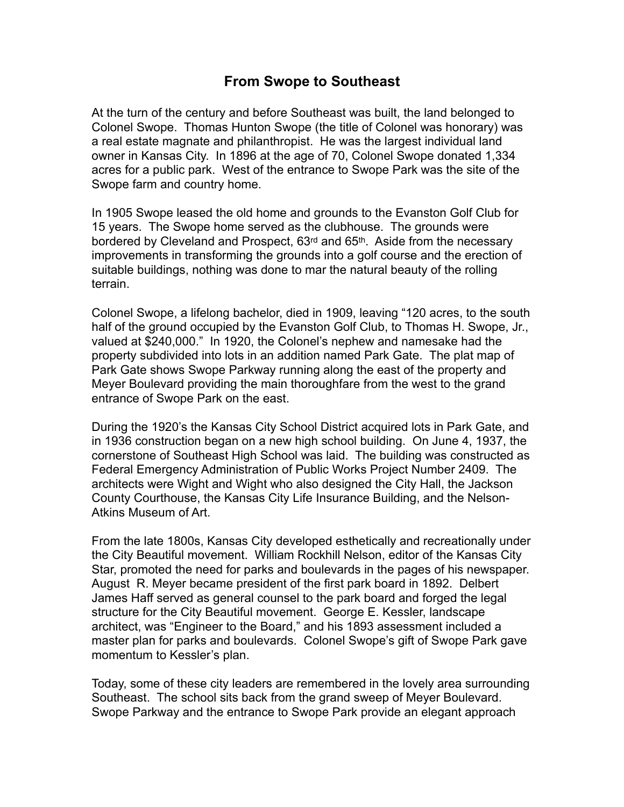## **From Swope to Southeast**

At the turn of the century and before Southeast was built, the land belonged to Colonel Swope. Thomas Hunton Swope (the title of Colonel was honorary) was a real estate magnate and philanthropist. He was the largest individual land owner in Kansas City. In 1896 at the age of 70, Colonel Swope donated 1,334 acres for a public park. West of the entrance to Swope Park was the site of the Swope farm and country home.

In 1905 Swope leased the old home and grounds to the Evanston Golf Club for 15 years. The Swope home served as the clubhouse. The grounds were bordered by Cleveland and Prospect, 63<sup>rd</sup> and 65<sup>th</sup>. Aside from the necessary improvements in transforming the grounds into a golf course and the erection of suitable buildings, nothing was done to mar the natural beauty of the rolling terrain.

Colonel Swope, a lifelong bachelor, died in 1909, leaving "120 acres, to the south half of the ground occupied by the Evanston Golf Club, to Thomas H. Swope, Jr., valued at \$240,000." In 1920, the Colonel's nephew and namesake had the property subdivided into lots in an addition named Park Gate. The plat map of Park Gate shows Swope Parkway running along the east of the property and Meyer Boulevard providing the main thoroughfare from the west to the grand entrance of Swope Park on the east.

During the 1920's the Kansas City School District acquired lots in Park Gate, and in 1936 construction began on a new high school building. On June 4, 1937, the cornerstone of Southeast High School was laid. The building was constructed as Federal Emergency Administration of Public Works Project Number 2409. The architects were Wight and Wight who also designed the City Hall, the Jackson County Courthouse, the Kansas City Life Insurance Building, and the Nelson-Atkins Museum of Art.

From the late 1800s, Kansas City developed esthetically and recreationally under the City Beautiful movement. William Rockhill Nelson, editor of the Kansas City Star, promoted the need for parks and boulevards in the pages of his newspaper. August R. Meyer became president of the first park board in 1892. Delbert James Haff served as general counsel to the park board and forged the legal structure for the City Beautiful movement. George E. Kessler, landscape architect, was "Engineer to the Board," and his 1893 assessment included a master plan for parks and boulevards. Colonel Swope's gift of Swope Park gave momentum to Kessler's plan.

Today, some of these city leaders are remembered in the lovely area surrounding Southeast. The school sits back from the grand sweep of Meyer Boulevard. Swope Parkway and the entrance to Swope Park provide an elegant approach